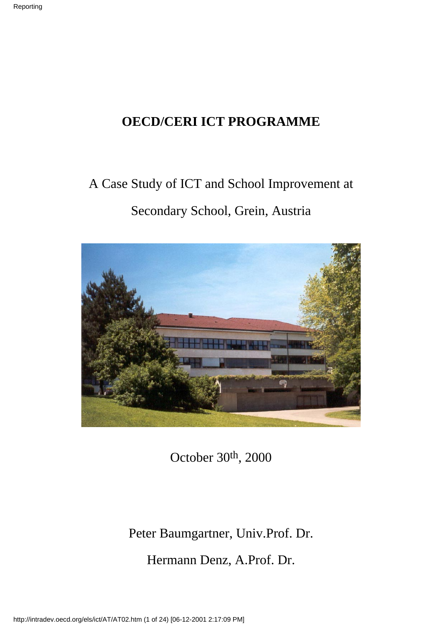### **OECD/CERI ICT PROGRAMME**

## A Case Study of ICT and School Improvement at Secondary School, Grein, Austria



October 30th, 2000

### Peter Baumgartner, Univ.Prof. Dr.

Hermann Denz, A.Prof. Dr.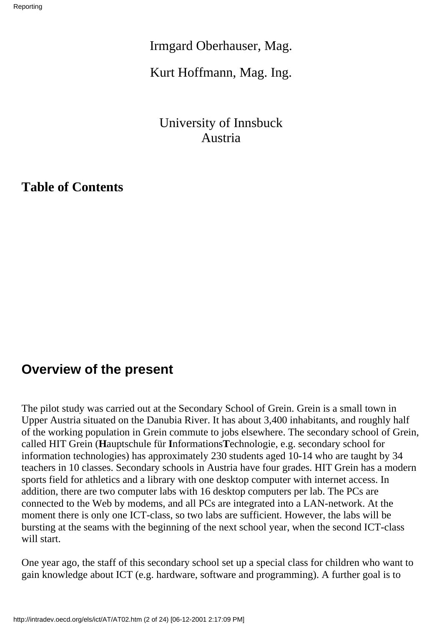Irmgard Oberhauser, Mag.

Kurt Hoffmann, Mag. Ing.

University of Innsbuck Austria

**Table of Contents**

### **Overview of the present**

The pilot study was carried out at the Secondary School of Grein. Grein is a small town in Upper Austria situated on the Danubia River. It has about 3,400 inhabitants, and roughly half of the working population in Grein commute to jobs elsewhere. The secondary school of Grein, called HIT Grein (**H**auptschule für **I**nformations**T**echnologie, e.g. secondary school for information technologies) has approximately 230 students aged 10-14 who are taught by 34 teachers in 10 classes. Secondary schools in Austria have four grades. HIT Grein has a modern sports field for athletics and a library with one desktop computer with internet access. In addition, there are two computer labs with 16 desktop computers per lab. The PC s are connected to the Web by modems, and all PC s are integrated into a LAN-network. At the moment there is only one ICT-class, so two labs are sufficient. However, the labs will be bursting at the seams with the beginning of the next school year, when the second ICT-class will start.

One year ago, the staff of this secondary school set up a special class for children who want to gain knowledge about ICT (e.g. hardware, software and programming). A further goal is to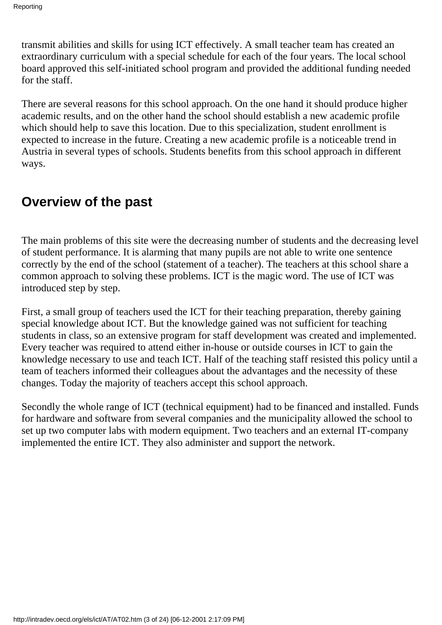transmit abilities and skills for using ICT effectively. A small teacher team has created an extraordinary curriculum with a special schedule for each of the four years. The local school board approved this self-initiated school program and provided the additional funding needed for the staff.

There are several reasons for this school approach. On the one hand it should produce higher academic results, and on the other hand the school should establish a new academic profile which should help to save this location. Due to this specialization, student enrollment is expected to increase in the future. Creating a new academic profile is a noticeable trend in Austria in several types of schools. Students benefits from this school approach in different ways.

### **Overview of the past**

The main problems of this site were the decreasing number of students and the decreasing level of student performance. It is alarming that many pupils are not able to write one sentence correctly by the end of the school (statement of a teacher). The teachers at this school share a common approach to solving these problems. ICT is the magic word. The use of ICT was introduced step by step.

First, a small group of teachers used the ICT for their teaching preparation, thereby gaining special knowledge about ICT. But the knowledge gained was not sufficient for teaching students in class, so an extensive program for staff development was created and implemented. Every teacher was required to attend either in-house or outside courses in ICT to gain the knowledge necessary to use and teach ICT. Half of the teaching staff resisted this policy until a team of teachers informed their colleagues about the advantages and the necessity of these changes. Today the majority of teachers accept this school approach.

Secondly the whole range of ICT (technical equipment) had to be financed and installed. Funds for hardware and software from several companies and the municipality allowed the school to set up two computer labs with modern equipment. Two teachers and an external IT-company implemented the entire ICT. They also administer and support the network.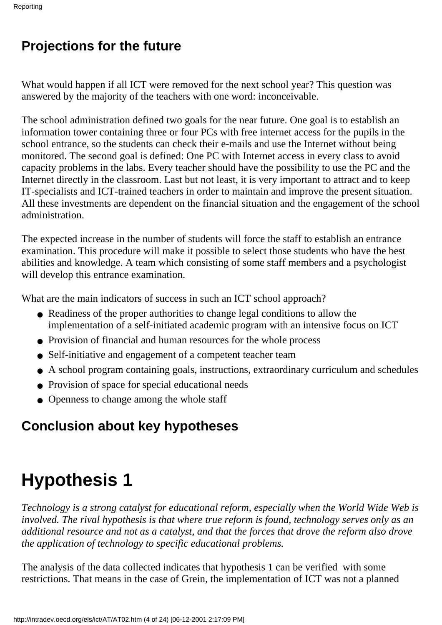## **Projections for the future**

What would happen if all ICT were removed for the next school year? This question was answered by the majority of the teachers with one word: inconceivable.

The school administration defined two goals for the near future. One goal is to establish an information tower containing three or four PC s with free internet access for the pupils in the school entrance, so the students can check their e-mails and use the Internet without being monitored. The second goal is defined: One PC with Internet access in every class to avoid capacity problems in the labs. Every teacher should have the possibility to use the PC and the Internet directly in the classroom. Last but not least, it is very important to attract and to keep IT-specialists and ICT-trained teachers in order to maintain and improve the present situation. All these investments are dependent on the financial situation and the engagement of the school administration.

The expected increase in the number of students will force the staff to establish an entrance examination. This procedure will make it possible to select those students who have the best abilities and knowledge. A team which consisting of some staff members and a psychologist will develop this entrance examination.

What are the main indicators of success in such an ICT school approach?

- Readiness of the proper authorities to change legal conditions to allow the implementation of a self-initiated academic program with an intensive focus on ICT
- Provision of financial and human resources for the whole process
- Self-initiative and engagement of a competent teacher team
- A school program containing goals, instructions, extraordinary curriculum and schedules
- Provision of space for special educational needs
- Openness to change among the whole staff

### **Conclusion about key hypotheses**

# **Hypothesis 1**

*Technology is a strong catalyst for educational reform, especially when the World Wide Web is involved. The rival hypothesis is that where true reform is found, technology serves only as an additional resource and not as a catalyst, and that the forces that drove the reform also drove the application of technology to specific educational problems.*

The analysis of the data collected indicates that hypothesis 1 can be verified with some restrictions. That means in the case of Grein, the implementation of ICT was not a planned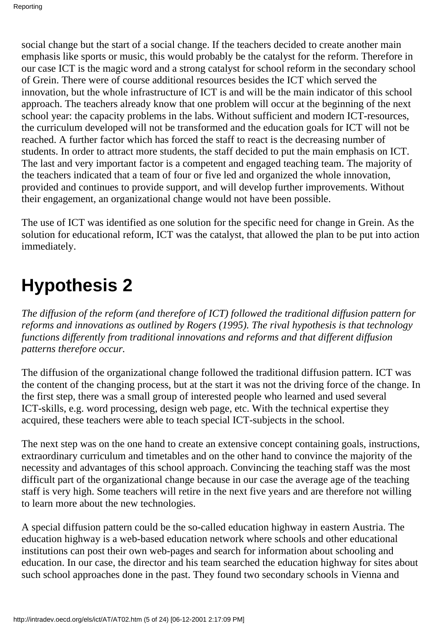social change but the start of a social change. If the teachers decided to create another main emphasis like sports or music, this would probably be the catalyst for the reform. Therefore in our case ICT is the magic word and a strong catalyst for school reform in the secondary school of Grein. There were of course additional resources besides the ICT which served the innovation, but the whole infrastructure of ICT is and will be the main indicator of this school approach. The teachers already know that one problem will occur at the beginning of the next school year: the capacity problems in the labs. Without sufficient and modern ICT-resources, the curriculum developed will not be transformed and the education goals for ICT will not be reached. A further factor which has forced the staff to react is the decreasing number of students. In order to attract more students, the staff decided to put the main emphasis on ICT. The last and very important factor is a competent and engaged teaching team. The majority of the teachers indicated that a team of four or five led and organized the whole innovation, provided and continues to provide support, and will develop further improvements. Without their engagement, an organizational change would not have been possible.

The use of ICT was identified as one solution for the specific need for change in Grein. As the solution for educational reform, ICT was the catalyst, that allowed the plan to be put into action immediately.

# **Hypothesis 2**

*The diffusion of the reform (and therefore of ICT) followed the traditional diffusion pattern for reforms and innovations as outlined by Rogers (1995). The rival hypothesis is that technology functions differently from traditional innovations and reforms and that different diffusion patterns therefore occur.*

The diffusion of the organizational change followed the traditional diffusion pattern. ICT was the content of the changing process, but at the start it was not the driving force of the change. In the first step, there was a small group of interested people who learned and used several ICT-skills, e.g. word processing, design web page, etc. With the technical expertise they acquired, these teachers were able to teach special ICT-subjects in the school.

The next step was on the one hand to create an extensive concept containing goals, instructions, extraordinary curriculum and timetables and on the other hand to convince the majority of the necessity and advantages of this school approach. Convincing the teaching staff was the most difficult part of the organizational change because in our case the average age of the teaching staff is very high. Some teachers will retire in the next five years and are therefore not willing to learn more about the new technologies.

A special diffusion pattern could be the so-called education highway in eastern Austria. The education highway is a web-based education network where schools and other educational institutions can post their own web-pages and search for information about schooling and education. In our case, the director and his team searched the education highway for sites about such school approaches done in the past. They found two secondary schools in Vienna and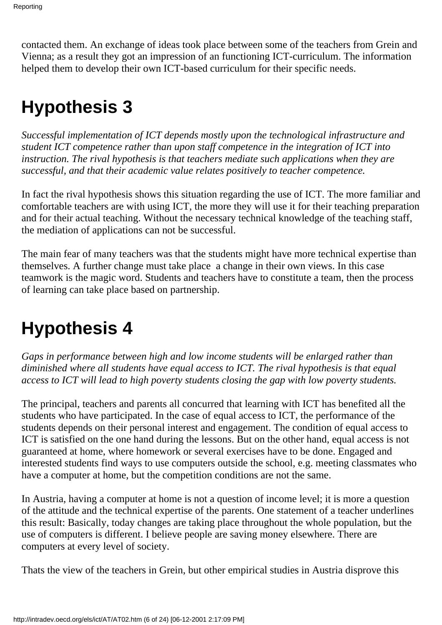contacted them. An exchange of ideas took place between some of the teachers from Grein and Vienna; as a result they got an impression of an functioning ICT-curriculum. The information helped them to develop their own ICT-based curriculum for their specific needs.

## **Hypothesis 3**

*Successful implementation of ICT depends mostly upon the technological infrastructure and student ICT competence rather than upon staff competence in the integration of ICT into instruction. The rival hypothesis is that teachers mediate such applications when they are successful, and that their academic value relates positively to teacher competence.*

In fact the rival hypothesis shows this situation regarding the use of ICT. The more familiar and comfortable teachers are with using ICT, the more they will use it for their teaching preparation and for their actual teaching. Without the necessary technical knowledge of the teaching staff, the mediation of applications can not be successful.

The main fear of many teachers was that the students might have more technical expertise than themselves. A further change must take place a change in their own views. In this case teamwork is the magic word. Students and teachers have to constitute a team, then the process of learning can take place based on partnership.

## **Hypothesis 4**

*Gaps in performance between high and low income students will be enlarged rather than diminished where all students have equal access to ICT. The rival hypothesis is that equal access to ICT will lead to high poverty students closing the gap with low poverty students.*

The principal, teachers and parents all concurred that learning with ICT has benefited all the students who have participated. In the case of equal access to ICT, the performance of the students depends on their personal interest and engagement. The condition of equal access to ICT is satisfied on the one hand during the lessons. But on the other hand, equal access is not guaranteed at home, where homework or several exercises have to be done. Engaged and interested students find ways to use computers outside the school, e.g. meeting classmates who have a computer at home, but the competition conditions are not the same.

In Austria, having a computer at home is not a question of income level; it is more a question of the attitude and the technical expertise of the parents. One statement of a teacher underlines this result: Basically, today changes are taking place throughout the whole population, but the use of computers is different. I believe people are saving money elsewhere. There are computers at every level of society.

That s the view of the teachers in Grein, but other empirical studies in Austria disprove this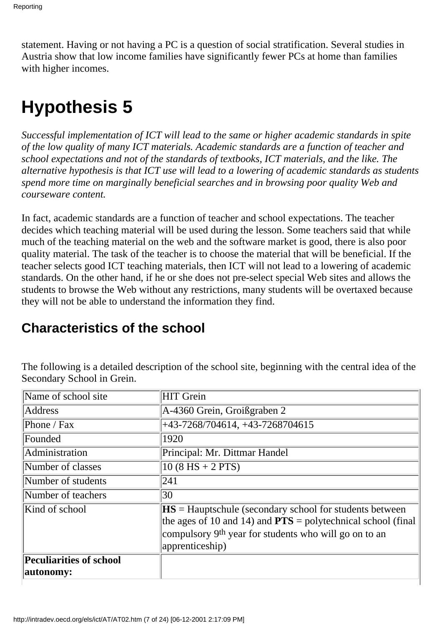statement. Having or not having a PC is a question of social stratification. Several studies in Austria show that low income families have significantly fewer PC s at home than families with higher incomes.

## **Hypothesis 5**

*Successful implementation of ICT will lead to the same or higher academic standards in spite of the low quality of many ICT materials. Academic standards are a function of teacher and school expectations and not of the standards of textbooks, ICT materials, and the like. The alternative hypothesis is that ICT use will lead to a lowering of academic standards as students spend more time on marginally beneficial searches and in browsing poor quality Web and courseware content.*

In fact, academic standards are a function of teacher and school expectations. The teacher decides which teaching material will be used during the lesson. Some teachers said that while much of the teaching material on the web and the software market is good, there is also poor quality material. The task of the teacher is to choose the material that will be beneficial. If the teacher selects good ICT teaching materials, then ICT will not lead to a lowering of academic standards. On the other hand, if he or she does not pre-select special Web sites and allows the students to browse the Web without any restrictions, many students will be overtaxed because they will not be able to understand the information they find.

### **Characteristics of the school**

The following is a detailed description of the school site, beginning with the central idea of the Secondary School in Grein.

| Name of school site                         | HIT Grein                                                                                                                                                                                                                             |
|---------------------------------------------|---------------------------------------------------------------------------------------------------------------------------------------------------------------------------------------------------------------------------------------|
| <b>Address</b>                              | A-4360 Grein, Groißgraben 2                                                                                                                                                                                                           |
| Phone / Fax                                 | $+43-7268/704614, +43-7268704615$                                                                                                                                                                                                     |
| Founded                                     | 1920                                                                                                                                                                                                                                  |
| Administration                              | Principal: Mr. Dittmar Handel                                                                                                                                                                                                         |
| Number of classes                           | $10 (8 HS + 2 PTS)$                                                                                                                                                                                                                   |
| Number of students                          | 241                                                                                                                                                                                                                                   |
| Number of teachers                          | 30                                                                                                                                                                                                                                    |
| Kind of school                              | $\textbf{H}\textbf{S}$ = Hauptschule (secondary school for students between<br>the ages of 10 and 14) and $PTS$ = polytechnical school (final<br>compulsory 9 <sup>th</sup> year for students who will go on to an<br>apprenticeship) |
| <b>Peculiarities of school</b><br>autonomy: |                                                                                                                                                                                                                                       |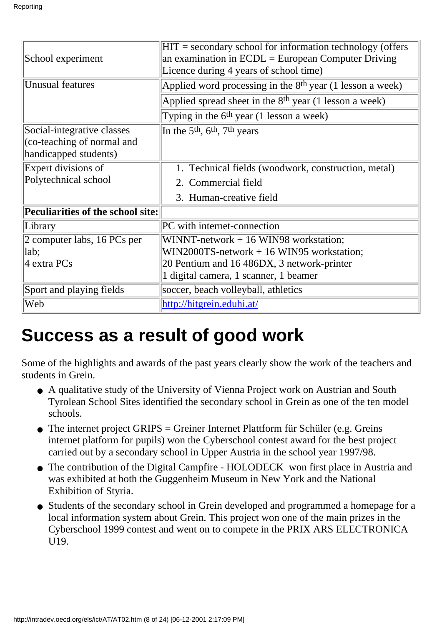| School experiment                                                                 | $HIT =$ secondary school for information technology (offers<br>an examination in $ECDL = European Computer Driving$<br>Licence during 4 years of school time) |
|-----------------------------------------------------------------------------------|---------------------------------------------------------------------------------------------------------------------------------------------------------------|
| <b>Unusual features</b>                                                           | Applied word processing in the 8 <sup>th</sup> year (1 lesson a week)                                                                                         |
|                                                                                   | Applied spread sheet in the $8th$ year (1 lesson a week)                                                                                                      |
|                                                                                   | Typing in the $6th$ year (1 lesson a week)                                                                                                                    |
| Social-integrative classes<br>(co-teaching of normal and<br>handicapped students) | In the 5 <sup>th</sup> , $6th$ , 7 <sup>th</sup> years                                                                                                        |
| Expert divisions of                                                               | 1. Technical fields (woodwork, construction, metal)                                                                                                           |
| Polytechnical school                                                              | 2. Commercial field                                                                                                                                           |
|                                                                                   | 3. Human-creative field                                                                                                                                       |
| <b>Peculiarities of the school site:</b>                                          |                                                                                                                                                               |
| Library                                                                           | PC with internet-connection                                                                                                                                   |
| 2 computer labs, $16$ PC s per                                                    | WINNT-network $+16$ WIN98 workstation;                                                                                                                        |
| lab;                                                                              | $WIN2000TS$ -network $+16$ WIN95 workstation;                                                                                                                 |
| 4 extra PC s                                                                      | 20 Pentium and 16 486DX, 3 network-printer                                                                                                                    |
|                                                                                   | 1 digital camera, 1 scanner, 1 beamer                                                                                                                         |
| Sport and playing fields                                                          | soccer, beach volleyball, athletics                                                                                                                           |
| Web                                                                               | http://hitgrein.eduhi.at/                                                                                                                                     |

## **Success as a result of good work**

Some of the highlights and awards of the past years clearly show the work of the teachers and students in Grein.

- A qualitative study of the University of Vienna Project work on Austrian and South Tyrolean School Sites identified the secondary school in Grein as one of the ten model schools.
- The internet project GRIPS = Greiner Internet Plattform für Schüler (e.g. Greins internet platform for pupils) won the Cyberschool contest award for the best project carried out by a secondary school in Upper Austria in the school year 1997/98.
- The contribution of the Digital Campfire HOLODECK won first place in Austria and was exhibited at both the Guggenheim Museum in New York and the National Exhibition of Styria.
- Students of the secondary school in Grein developed and programmed a homepage for a local information system about Grein. This project won one of the main prizes in the Cyberschool 1999 contest and went on to compete in the PRIX ARS ELECTRONICA U19.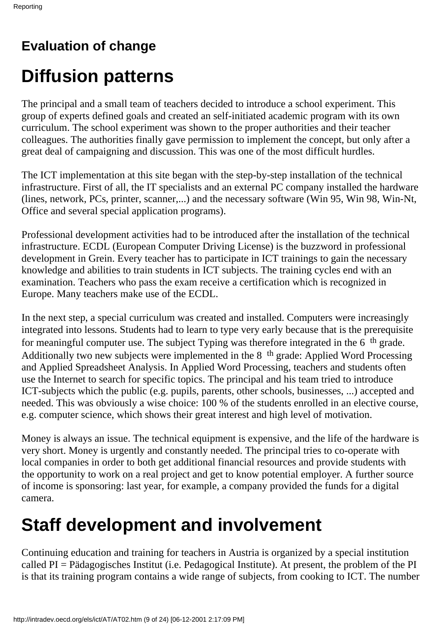## **Evaluation of change**

# **Diffusion patterns**

The principal and a small team of teachers decided to introduce a school experiment. This group of experts defined goals and created an self-initiated academic program with its own curriculum. The school experiment was shown to the proper authorities and their teacher colleagues. The authorities finally gave permission to implement the concept, but only after a great deal of campaigning and discussion. This was one of the most difficult hurdles.

The ICT implementation at this site began with the step-by-step installation of the technical infrastructure. First of all, the IT specialists and an external PC company installed the hardware (lines, network, PC s, printer, scanner,...) and the necessary software (Win 95, Win 98, Win-Nt, Office and several special application programs).

Professional development activities had to be introduced after the installation of the technical infrastructure. ECDL (European Computer Driving License) is the buzzword in professional development in Grein. Every teacher has to participate in ICT trainings to gain the necessary knowledge and abilities to train students in ICT subjects. The training cycles end with an examination. Teachers who pass the exam receive a certification which is recognized in Europe. Many teachers make use of the ECDL.

In the next step, a special curriculum was created and installed. Computers were increasingly integrated into lessons. Students had to learn to type very early because that is the prerequisite for meaningful computer use. The subject Typing was therefore integrated in the 6th grade. Additionally two new subjects were implemented in the 8<sup>th</sup> grade: Applied Word Processing and Applied Spreadsheet Analysis. In Applied Word Processing, teachers and students often use the Internet to search for specific topics. The principal and his team tried to introduce ICT-subjects which the public (e.g. pupils, parents, other schools, businesses, ...) accepted and needed. This was obviously a wise choice: 100 % of the students enrolled in an elective course, e.g. computer science, which shows their great interest and high level of motivation.

Money is always an issue. The technical equipment is expensive, and the life of the hardware is very short. Money is urgently and constantly needed. The principal tries to co-operate with local companies in order to both get additional financial resources and provide students with the opportunity to work on a real project and get to know potential employer. A further source of income is sponsoring: last year, for example, a company provided the funds for a digital camera.

## **Staff development and involvement**

Continuing education and training for teachers in Austria is organized by a special institution called PI = Pädagogisches Institut (i.e. Pedagogical Institute). At present, the problem of the PI is that its training program contains a wide range of subjects, from cooking to ICT. The number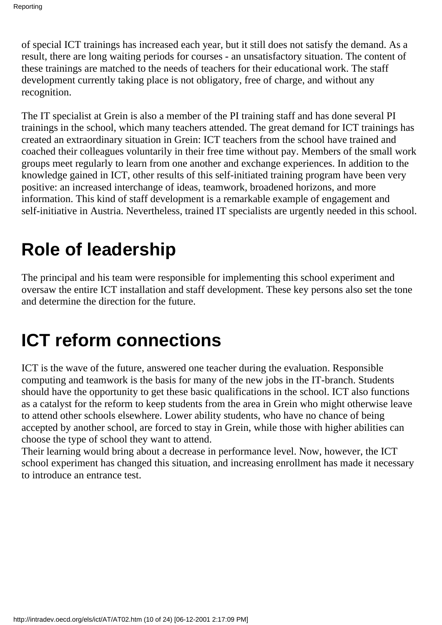of special ICT trainings has increased each year, but it still does not satisfy the demand. As a result, there are long waiting periods for courses - an unsatisfactory situation. The content of these trainings are matched to the needs of teachers for their educational work. The staff development currently taking place is not obligatory, free of charge, and without any recognition.

The IT specialist at Grein is also a member of the PI training staff and has done several PI trainings in the school, which many teachers attended. The great demand for ICT trainings has created an extraordinary situation in Grein: ICT teachers from the school have trained and coached their colleagues voluntarily in their free time without pay. Members of the small work groups meet regularly to learn from one another and exchange experiences. In addition to the knowledge gained in ICT, other results of this self-initiated training program have been very positive: an increased interchange of ideas, teamwork, broadened horizons, and more information. This kind of staff development is a remarkable example of engagement and self-initiative in Austria. Nevertheless, trained IT specialists are urgently needed in this school.

## **Role of leadership**

The principal and his team were responsible for implementing this school experiment and oversaw the entire ICT installation and staff development. These key persons also set the tone and determine the direction for the future.

## **ICT reform connections**

ICT is the wave of the future, answered one teacher during the evaluation. Responsible computing and teamwork is the basis for many of the new jobs in the IT-branch. Students should have the opportunity to get these basic qualifications in the school. ICT also functions as a catalyst for the reform to keep students from the area in Grein who might otherwise leave to attend other schools elsewhere. Lower ability students, who have no chance of being accepted by another school, are forced to stay in Grein, while those with higher abilities can choose the type of school they want to attend.

Their learning would bring about a decrease in performance level. Now, however, the ICT school experiment has changed this situation, and increasing enrollment has made it necessary to introduce an entrance test.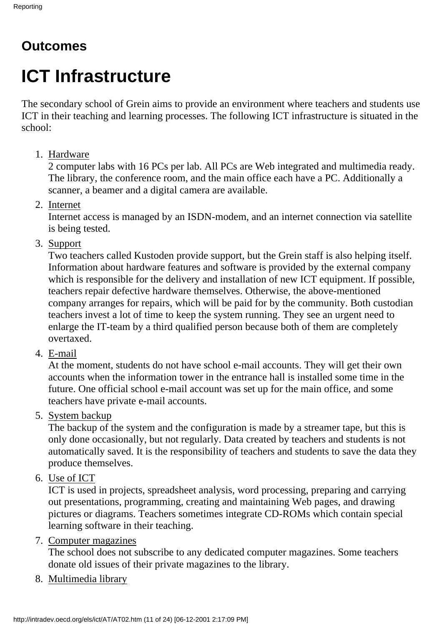### **Outcomes**

# **ICT Infrastructure**

The secondary school of Grein aims to provide an environment where teachers and students use ICT in their teaching and learning processes. The following ICT infrastructure is situated in the school:

### 1. Hardware

2 computer labs with 16 PC s per lab. All PC s are Web integrated and multimedia ready. The library, the conference room, and the main office each have a PC. Additionally a scanner, a beamer and a digital camera are available.

2. Internet

Internet access is managed by an ISDN-modem, and an internet connection via satellite is being tested.

3. Support

Two teachers called Kustoden provide support, but the Grein staff is also helping itself. Information about hardware features and software is provided by the external company which is responsible for the delivery and installation of new ICT equipment. If possible, teachers repair defective hardware themselves. Otherwise, the above-mentioned company arranges for repairs, which will be paid for by the community. Both custodian teachers invest a lot of time to keep the system running. They see an urgent need to enlarge the IT-team by a third qualified person because both of them are completely overtaxed.

4. E-mail

At the moment, students do not have school e-mail accounts. They will get their own accounts when the information tower in the entrance hall is installed some time in the future. One official school e-mail account was set up for the main office, and some teachers have private e-mail accounts.

5. System backup

The backup of the system and the configuration is made by a streamer tape, but this is only done occasionally, but not regularly. Data created by teachers and students is not automatically saved. It is the responsibility of teachers and students to save the data they produce themselves.

6. Use of ICT

ICT is used in projects, spreadsheet analysis, word processing, preparing and carrying out presentations, programming, creating and maintaining Web pages, and drawing pictures or diagrams. Teachers sometimes integrate CD-ROM s which contain special learning software in their teaching.

7. Computer magazines

The school does not subscribe to any dedicated computer magazines. Some teachers donate old issues of their private magazines to the library.

8. Multimedia library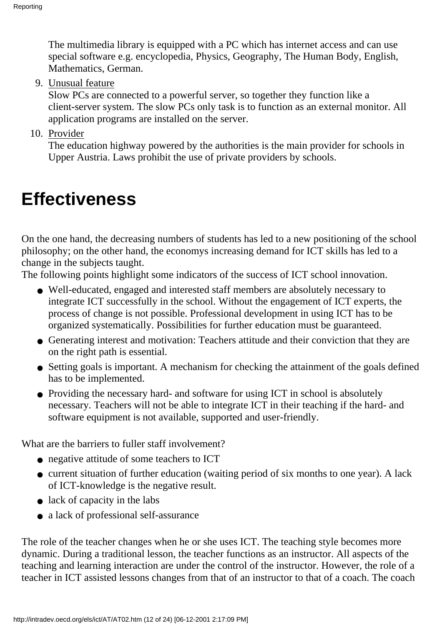The multimedia library is equipped with a PC which has internet access and can use special software e.g. encyclopedia, Physics, Geography, The Human Body, English, Mathematics, German.

9. Unusual feature

Slow PC s are connected to a powerful server, so together they function like a client-server system. The slow PC s only task is to function as an external monitor. All application programs are installed on the server.

10. Provider

The education highway powered by the authorities is the main provider for schools in Upper Austria. Laws prohibit the use of private providers by schools.

## **Effectiveness**

On the one hand, the decreasing numbers of students has led to a new positioning of the school philosophy; on the other hand, the economys increasing demand for ICT skills has led to a change in the subjects taught.

The following points highlight some indicators of the success of ICT school innovation.

- Well-educated, engaged and interested staff members are absolutely necessary to integrate ICT successfully in the school. Without the engagement of ICT experts, the process of change is not possible. Professional development in using ICT has to be organized systematically. Possibilities for further education must be guaranteed.
- Generating interest and motivation: Teachers attitude and their conviction that they are on the right path is essential.
- Setting goals is important. A mechanism for checking the attainment of the goals defined has to be implemented.
- Providing the necessary hard- and software for using ICT in school is absolutely necessary. Teachers will not be able to integrate ICT in their teaching if the hard- and software equipment is not available, supported and user-friendly.

What are the barriers to fuller staff involvement?

- negative attitude of some teachers to ICT
- current situation of further education (waiting period of six months to one year). A lack of ICT-knowledge is the negative result.
- $\bullet$  lack of capacity in the labs
- a lack of professional self-assurance

The role of the teacher changes when he or she uses ICT. The teaching style becomes more dynamic. During a traditional lesson, the teacher functions as an instructor. All aspects of the teaching and learning interaction are under the control of the instructor. However, the role of a teacher in ICT assisted lessons changes from that of an instructor to that of a coach. The coach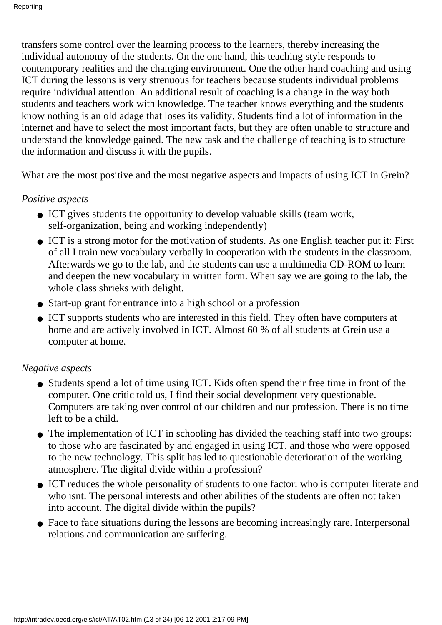transfers some control over the learning process to the learners, thereby increasing the individual autonomy of the students. On the one hand, this teaching style responds to contemporary realities and the changing environment. One the other hand coaching and using ICT during the lessons is very strenuous for teachers because students individual problems require individual attention. An additional result of coaching is a change in the way both students and teachers work with knowledge. The teacher knows everything and the students know nothing is an old adage that loses its validity. Students find a lot of information in the internet and have to select the most important facts, but they are often unable to structure and understand the knowledge gained. The new task and the challenge of teaching is to structure the information and discuss it with the pupils.

What are the most positive and the most negative aspects and impacts of using ICT in Grein?

#### *Positive aspects*

- ICT gives students the opportunity to develop valuable skills (team work, self-organization, being and working independently)
- ICT is a strong motor for the motivation of students. As one English teacher put it: First of all I train new vocabulary verbally in cooperation with the students in the classroom. Afterwards we go to the lab, and the students can use a multimedia CD-ROM to learn and deepen the new vocabulary in written form. When say we are going to the lab, the whole class shrieks with delight.
- Start-up grant for entrance into a high school or a profession
- ICT supports students who are interested in this field. They often have computers at home and are actively involved in ICT. Almost 60 % of all students at Grein use a computer at home.

#### *Negative aspects*

- Students spend a lot of time using ICT. Kids often spend their free time in front of the computer. One critic told us, I find their social development very questionable. Computers are taking over control of our children and our profession. There is no time left to be a child.
- The implementation of ICT in schooling has divided the teaching staff into two groups: to those who are fascinated by and engaged in using ICT, and those who were opposed to the new technology. This split has led to questionable deterioration of the working atmosphere. The digital divide within a profession?
- ICT reduces the whole personality of students to one factor: who is computer literate and who isn t. The personal interests and other abilities of the students are often not taken into account. The digital divide within the pupils?
- Face to face situations during the lessons are becoming increasingly rare. Interpersonal relations and communication are suffering.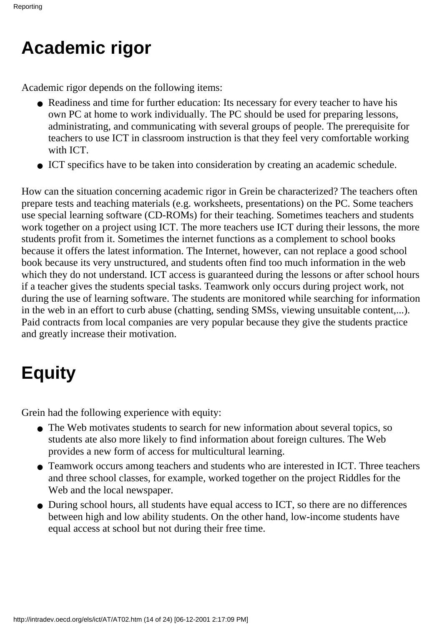## **Academic rigor**

Academic rigor depends on the following items:

- Readiness and time for further education: It s necessary for every teacher to have his own PC at home to work individually. The PC should be used for preparing lessons, administrating, and communicating with several groups of people. The prerequisite for teachers to use ICT in classroom instruction is that they feel very comfortable working with ICT.
- ICT specifics have to be taken into consideration by creating an academic schedule.

How can the situation concerning academic rigor in Grein be characterized? The teachers often prepare tests and teaching materials (e.g. worksheets, presentations) on the PC. Some teachers use special learning software (CD-ROM s) for their teaching. Sometimes teachers and students work together on a project using ICT. The more teachers use ICT during their lessons, the more students profit from it. Sometimes the internet functions as a complement to school books because it offers the latest information. The Internet, however, can not replace a good school book because it s very unstructured, and students often find too much information in the web which they do not understand. ICT access is guaranteed during the lessons or after school hours if a teacher gives the students special tasks. Teamwork only occurs during project work, not during the use of learning software. The students are monitored while searching for information in the web in an effort to curb abuse (chatting, sending SMS s, viewing unsuitable content,...). Paid contracts from local companies are very popular because they give the students practice and greatly increase their motivation.

## **Equity**

Grein had the following experience with equity:

- The Web motivates students to search for new information about several topics, so students ate also more likely to find information about foreign cultures. The Web provides a new form of access for multicultural learning.
- Teamwork occurs among teachers and students who are interested in ICT. Three teachers and three school classes, for example, worked together on the project Riddles for the Web and the local newspaper.
- During school hours, all students have equal access to ICT, so there are no differences between high and low ability students. On the other hand, low-income students have equal access at school but not during their free time.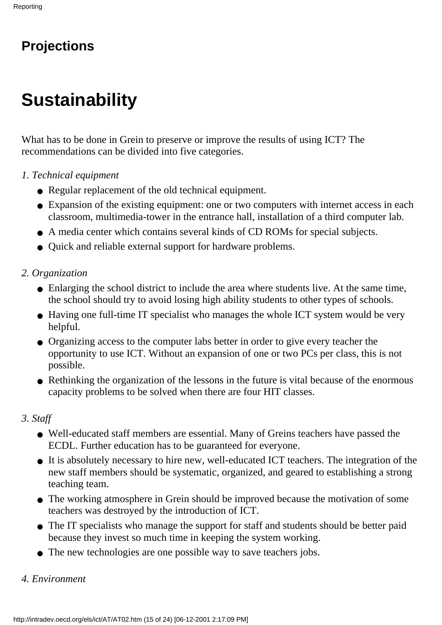## **Projections**

# **Sustainability**

What has to be done in Grein to preserve or improve the results of using ICT? The recommendations can be divided into five categories.

- *1. Technical equipment*
	- Regular replacement of the old technical equipment.
	- Expansion of the existing equipment: one or two computers with internet access in each classroom, multimedia-tower in the entrance hall, installation of a third computer lab.
	- A media center which contains several kinds of CD ROM s for special subjects.
	- Quick and reliable external support for hardware problems.
- *2. Organization*
	- Enlarging the school district to include the area where students live. At the same time, the school should try to avoid losing high ability students to other types of schools.
	- Having one full-time IT specialist who manages the whole ICT system would be very helpful.
	- Organizing access to the computer labs better in order to give every teacher the opportunity to use ICT. Without an expansion of one or two PCs per class, this is not possible.
	- Rethinking the organization of the lessons in the future is vital because of the enormous capacity problems to be solved when there are four HIT classes.

#### *3. Staff*

- Well-educated staff members are essential. Many of Grein s teachers have passed the ECDL. Further education has to be guaranteed for everyone.
- It is absolutely necessary to hire new, well-educated ICT teachers. The integration of the new staff members should be systematic, organized, and geared to establishing a strong teaching team.
- The working atmosphere in Grein should be improved because the motivation of some teachers was destroyed by the introduction of ICT.
- The IT specialists who manage the support for staff and students should be better paid because they invest so much time in keeping the system working.
- The new technologies are one possible way to save teachers jobs.

#### *4. Environment*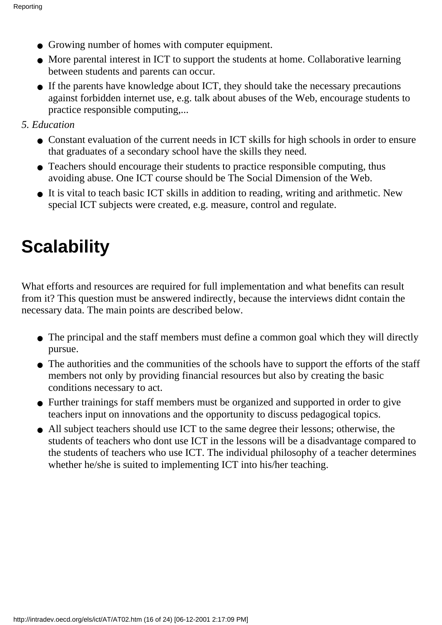- Growing number of homes with computer equipment.
- More parental interest in ICT to support the students at home. Collaborative learning between students and parents can occur.
- If the parents have knowledge about ICT, they should take the necessary precautions against forbidden internet use, e.g. talk about abuses of the Web, encourage students to practice responsible computing,...
- *5. Education*
	- Constant evaluation of the current needs in ICT skills for high schools in order to ensure that graduates of a secondary school have the skills they need.
	- Teachers should encourage their students to practice responsible computing, thus avoiding abuse. One ICT course should be The Social Dimension of the Web.
	- It is vital to teach basic ICT skills in addition to reading, writing and arithmetic. New special ICT subjects were created, e.g. measure, control and regulate.

# **Scalability**

What efforts and resources are required for full implementation and what benefits can result from it? This question must be answered indirectly, because the interviews didnt contain the necessary data. The main points are described below.

- The principal and the staff members must define a common goal which they will directly pursue.
- The authorities and the communities of the schools have to support the efforts of the staff members not only by providing financial resources but also by creating the basic conditions necessary to act.
- Further trainings for staff members must be organized and supported in order to give teachers input on innovations and the opportunity to discuss pedagogical topics.
- All subject teachers should use ICT to the same degree their lessons; otherwise, the students of teachers who dont use ICT in the lessons will be a disadvantage compared to the students of teachers who use ICT. The individual philosophy of a teacher determines whether he/she is suited to implementing ICT into his/her teaching.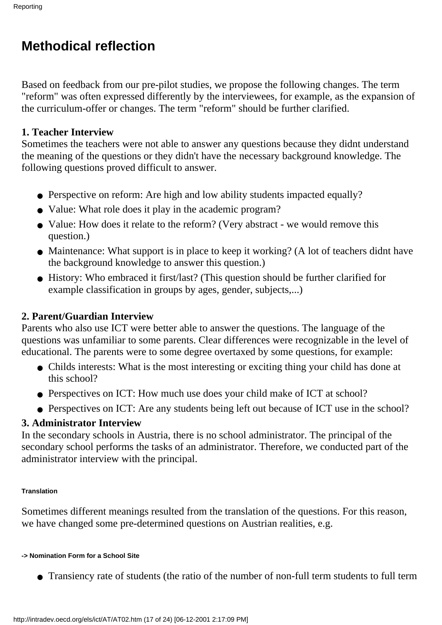### **Methodical reflection**

Based on feedback from our pre-pilot studies, we propose the following changes. The term "reform" was often expressed differently by the interviewees, for example, as the expansion of the curriculum-offer or changes. The term "reform" should be further clarified.

#### **1. Teacher Interview**

Sometimes the teachers were not able to answer any questions because they didn t understand the meaning of the questions or they didn't have the necessary background knowledge. The following questions proved difficult to answer.

- Perspective on reform: Are high and low ability students impacted equally?
- Value: What role does it play in the academic program?
- Value: How does it relate to the reform? (Very abstract we would remove this question.)
- Maintenance: What support is in place to keep it working? (A lot of teachers didn t have the background knowledge to answer this question.)
- History: Who embraced it first/last? (This question should be further clarified for example classification in groups by ages, gender, subjects,...)

### **2. Parent/Guardian Interview**

Parents who also use ICT were better able to answer the questions. The language of the questions was unfamiliar to some parents. Clear differences were recognizable in the level of educational. The parents were to some degree overtaxed by some questions, for example:

- Child s interests: What is the most interesting or exciting thing your child has done at this school?
- Perspectives on ICT: How much use does your child make of ICT at school?
- Perspectives on ICT: Are any students being left out because of ICT use in the school?

#### **3. Administrator Interview**

In the secondary schools in Austria, there is no school administrator. The principal of the secondary school performs the tasks of an administrator. Therefore, we conducted part of the administrator interview with the principal.

#### **Translation**

Sometimes different meanings resulted from the translation of the questions. For this reason, we have changed some pre-determined questions on Austrian realities, e.g.

#### **-> Nomination Form for a School Site**

● Transiency rate of students (the ratio of the number of non-full term students to full term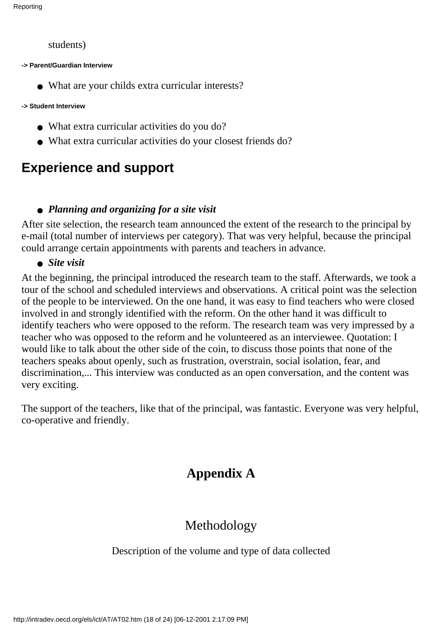```
Reporting
```
students)

**-> Parent/Guardian Interview**

• What are your child s extra curricular interests?

#### **-> Student Interview**

- What extra curricular activities do you do?
- What extra curricular activities do your closest friends do?

## **Experience and support**

### ● *Planning and organizing for a site visit*

After site selection, the research team announced the extent of the research to the principal by e-mail (total number of interviews per category). That was very helpful, because the principal could arrange certain appointments with parents and teachers in advance.

#### ● *Site visit*

At the beginning, the principal introduced the research team to the staff. Afterwards, we took a tour of the school and scheduled interviews and observations. A critical point was the selection of the people to be interviewed. On the one hand, it was easy to find teachers who were closed involved in and strongly identified with the reform. On the other hand it was difficult to identify teachers who were opposed to the reform. The research team was very impressed by a teacher who was opposed to the reform and he volunteered as an interviewee. Quotation: I would like to talk about the other side of the coin, to discuss those points that none of the teachers speaks about openly, such as frustration, overstrain, social isolation, fear, and discrimination,... This interview was conducted as an open conversation, and the content was very exciting.

The support of the teachers, like that of the principal, was fantastic. Everyone was very helpful, co-operative and friendly.

## **Appendix A**

### Methodology

#### Description of the volume and type of data collected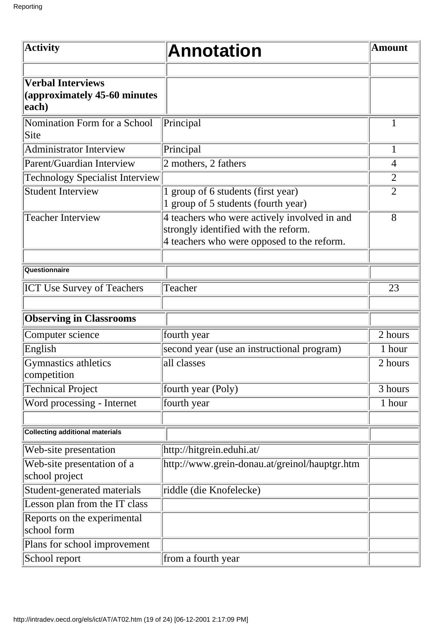| <b>Activity</b>                                                   | <b>Annotation</b>                                                                                                                  | <b>Amount</b>  |
|-------------------------------------------------------------------|------------------------------------------------------------------------------------------------------------------------------------|----------------|
| <b>Verbal Interviews</b><br>(approximately 45-60 minutes<br>each) |                                                                                                                                    |                |
| Nomination Form for a School<br>Site                              | Principal                                                                                                                          |                |
| <b>Administrator Interview</b>                                    | Principal                                                                                                                          | $\mathbf{1}$   |
| Parent/Guardian Interview                                         | 2 mothers, 2 fathers                                                                                                               | $\overline{4}$ |
| <b>Technology Specialist Interview</b>                            |                                                                                                                                    | $\overline{2}$ |
| <b>Student Interview</b>                                          | group of 6 students (first year)<br>1 group of 5 students (fourth year)                                                            | $\overline{2}$ |
| <b>Teacher Interview</b>                                          | 4 teachers who were actively involved in and<br>strongly identified with the reform.<br>4 teachers who were opposed to the reform. | 8              |
| Questionnaire                                                     |                                                                                                                                    |                |
| <b>ICT Use Survey of Teachers</b>                                 | Teacher                                                                                                                            | 23             |
| <b>Observing in Classrooms</b>                                    |                                                                                                                                    |                |
| Computer science                                                  | fourth year                                                                                                                        | 2 hours        |
| English                                                           | second year (use an instructional program)                                                                                         | 1 hour         |
| Gymnastics athletics<br>competition                               | all classes                                                                                                                        | 2 hours        |
| <b>Technical Project</b>                                          | fourth year (Poly)                                                                                                                 | 3 hours        |
| Word processing - Internet                                        | fourth year                                                                                                                        | 1 hour         |
| <b>Collecting additional materials</b>                            |                                                                                                                                    |                |
| Web-site presentation                                             | http://hitgrein.eduhi.at/                                                                                                          |                |
| Web-site presentation of a<br>school project                      | http://www.grein-donau.at/greinol/hauptgr.htm                                                                                      |                |
| Student-generated materials                                       | riddle (die Knofelecke)                                                                                                            |                |
| Lesson plan from the IT class                                     |                                                                                                                                    |                |
| Reports on the experimental<br>school form                        |                                                                                                                                    |                |
| Plans for school improvement                                      |                                                                                                                                    |                |
| School report                                                     | from a fourth year                                                                                                                 |                |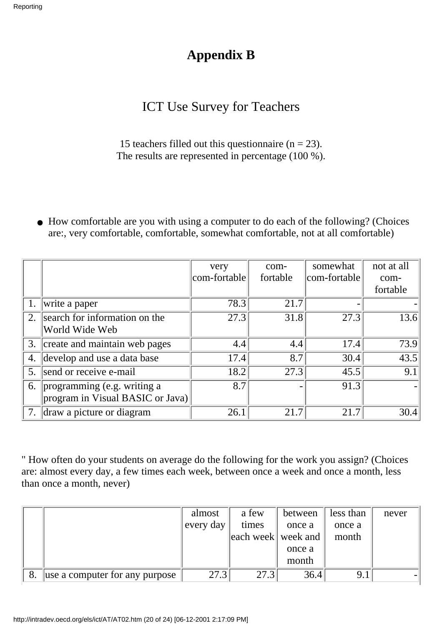### **Appendix B**

### ICT Use Survey for Teachers

15 teachers filled out this questionnaire ( $n = 23$ ). The results are represented in percentage (100 %).

• How comfortable are you with using a computer to do each of the following? (Choices are:, very comfortable, comfortable, somewhat comfortable, not at all comfortable)

|    |                                  | very         | com-     | somewhat     | not at all        |
|----|----------------------------------|--------------|----------|--------------|-------------------|
|    |                                  | com-fortable | fortable | com-fortable | com-              |
|    |                                  |              |          |              | fortable          |
|    | write a paper                    | 78.3         | 21.7     |              |                   |
| 2. | search for information on the    | 27.3         | 31.8     | 27.3         | 13.6              |
|    | World Wide Web                   |              |          |              |                   |
|    | 3. create and maintain web pages | 4.4          | 4.4      | 17.4         | 73.9              |
| 4. | develop and use a data base      | 17.4         | 8.7      | 30.4         | $\overline{43.5}$ |
| 5. | send or receive e-mail           | 18.2         | 27.3     | 45.5         | 9.1               |
| 6. | programming (e.g. writing a      | 8.7          |          | 91.3         |                   |
|    | program in Visual BASIC or Java) |              |          |              |                   |
|    | draw a picture or diagram        | 26.1         | 21.7     | 21.7         | 30.4              |

" How often do your students on average do the following for the work you assign? (Choices are: almost every day, a few times each week, between once a week and once a month, less than once a month, never)

|                                | almost    | a few              | between | less than | never |
|--------------------------------|-----------|--------------------|---------|-----------|-------|
|                                | every day | times              | once a  | once a    |       |
|                                |           | each week week and |         | month     |       |
|                                |           |                    | once a  |           |       |
|                                |           |                    | month   |           |       |
| use a computer for any purpose | 27.3      | 27.3               | 36.4    | 9.1       |       |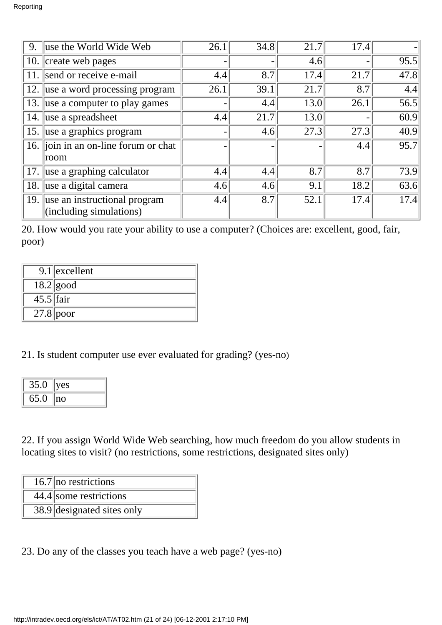| 9.                         | use the World Wide Web                                      | 26.1 | 34.8 | 21.7 | 17.4 |      |
|----------------------------|-------------------------------------------------------------|------|------|------|------|------|
| 10.                        | create web pages                                            |      |      | 4.6  |      | 95.5 |
| 11.                        | send or receive e-mail                                      | 4.4  | 8.7  | 17.4 | 21.7 | 47.8 |
| 12.                        | use a word processing program                               | 26.1 | 39.1 | 21.7 | 8.7  | 4.4  |
| 13.                        | use a computer to play games                                |      | 4.4  | 13.0 | 26.1 | 56.5 |
| use a spreadsheet<br>14.   |                                                             | 4.4  | 21.7 | 13.0 |      | 60.9 |
| 15. use a graphics program |                                                             |      | 4.6  | 27.3 | 27.3 | 40.9 |
|                            | 16. join in an on-line forum or chat                        |      |      |      | 4.4  | 95.7 |
|                            | room                                                        |      |      |      |      |      |
| 17.                        | use a graphing calculator                                   | 4.4  | 4.4  | 8.7  | 8.7  | 73.9 |
| 18.                        | use a digital camera                                        | 4.6  | 4.6  | 9.1  | 18.2 | 63.6 |
|                            | 19. use an instructional program<br>(including simulations) | 4.4  | 8.7  | 52.1 | 17.4 | 17.4 |

20. How would you rate your ability to use a computer? (Choices are: excellent, good, fair, poor)

|             | $9.1$ excellent |
|-------------|-----------------|
|             | $18.2$ good     |
| $45.5$ fair |                 |
| $27.8$ poor |                 |

21. Is student computer use ever evaluated for grading? (yes-no)

| 35.0 | ves           |
|------|---------------|
| 65.0 | $\mathsf{no}$ |

22. If you assign World Wide Web searching, how much freedom do you allow students in locating sites to visit? (no restrictions, some restrictions, designated sites only)

- 16.7 no restrictions
- 44.4 some restrictions
- 38.9 designated sites only
- 23. Do any of the classes you teach have a web page? (yes-no)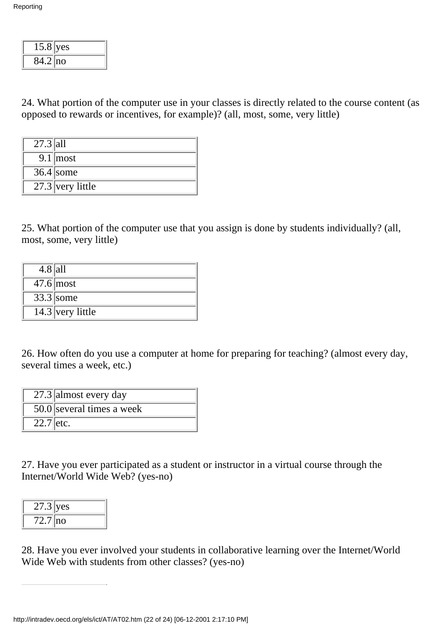| 15.8       | yes |
|------------|-----|
| $84.2$  no |     |

24. What portion of the computer use in your classes is directly related to the course content (as opposed to rewards or incentives, for example)? (all, most, some, very little)

| $27.\overline{3}$ all |                    |
|-----------------------|--------------------|
|                       | $9.1 \text{most}$  |
|                       | $36.4$ some        |
|                       | $27.3$ very little |

25. What portion of the computer use that you assign is done by students individually? (all, most, some, very little)

| $4.8$  all |                        |
|------------|------------------------|
|            | $47.6$ most            |
|            | $33.\overline{3}$ some |
|            | $14.3$ very little     |

26. How often do you use a computer at home for preparing for teaching? (almost every day, several times a week, etc.)

|             | $\overline{27.3}$ almost every day     |
|-------------|----------------------------------------|
|             | $\overline{50.0}$ several times a week |
| $22.7$ etc. |                                        |

27. Have you ever participated as a student or instructor in a virtual course through the Internet/World Wide Web? (yes-no)

| $27.3$ yes |    |
|------------|----|
| 72.71      | no |

28. Have you ever involved your students in collaborative learning over the Internet/World Wide Web with students from other classes? (yes-no)

http://intradev.oecd.org/els/ict/AT/AT02.htm (22 of 24) [06-12-2001 2:17:10 PM]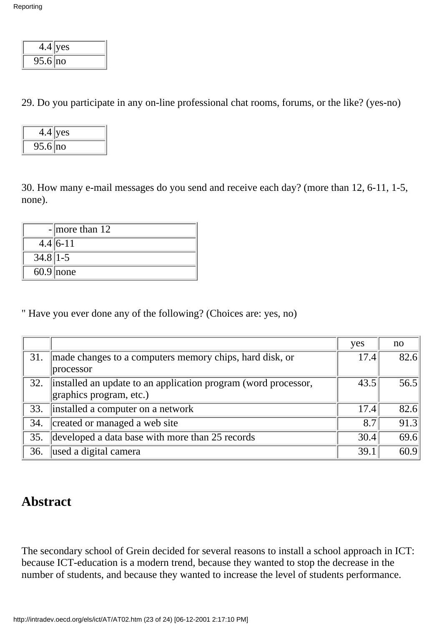| 4.4     | ves |
|---------|-----|
| 95.6 no |     |

29. Do you participate in any on-line professional chat rooms, forums, or the like? (yes-no)

| 4.4     | yes |
|---------|-----|
| 95.6 no |     |

30. How many e-mail messages do you send and receive each day? (more than 12, 6-11, 1-5, none).

|              | - more than $12$ |
|--------------|------------------|
|              | $4.4 6-11$       |
| $34.8$   1-5 |                  |
|              | $60.9$ none      |

" Have you ever done any of the following? (Choices are: yes, no)

|     |                                                                | yes  | no   |
|-----|----------------------------------------------------------------|------|------|
| 31. | made changes to a computer s memory chips, hard disk, or       | 17.4 | 82.6 |
|     | processor                                                      |      |      |
| 32. | installed an update to an application program (word processor, | 43.5 | 56.5 |
|     | graphics program, etc.)                                        |      |      |
| 33. | installed a computer on a network                              | 17.4 | 82.6 |
| 34. | created or managed a web site                                  | 8.7  | 91.3 |
| 35. | developed a data base with more than 25 records                | 30.4 | 69.6 |
| 36. | used a digital camera                                          | 39.1 | 60.9 |

### **Abstract**

The secondary school of Grein decided for several reasons to install a school approach in ICT: because ICT-education is a modern trend, because they wanted to stop the decrease in the number of students, and because they wanted to increase the level of students performance.